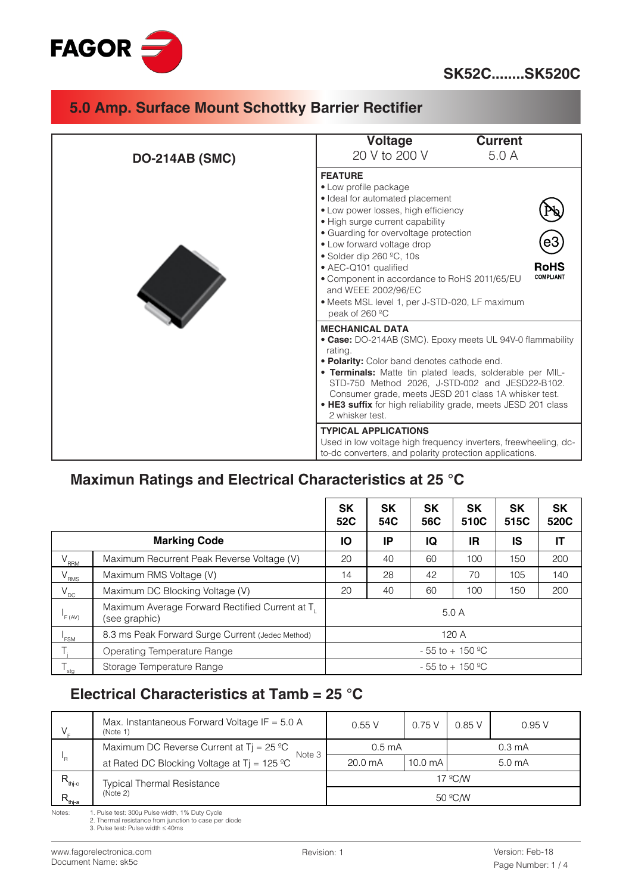

| <b>DO-214AB (SMC)</b> | Voltage<br><b>Current</b><br>20 V to 200 V<br>5.0A                                                                                                                                                                                                                                                                                                                                                                                                                  |
|-----------------------|---------------------------------------------------------------------------------------------------------------------------------------------------------------------------------------------------------------------------------------------------------------------------------------------------------------------------------------------------------------------------------------------------------------------------------------------------------------------|
|                       | <b>FEATURE</b><br>• Low profile package<br>· Ideal for automated placement<br>• Low power losses, high efficiency<br>• High surge current capability<br>• Guarding for overvoltage protection<br>eЗ<br>• Low forward voltage drop<br>• Solder dip 260 °C, 10s<br><b>RoHS</b><br>• AEC-Q101 qualified<br><b>COMPLIANT</b><br>• Component in accordance to RoHS 2011/65/EU<br>and WEEE 2002/96/EC<br>· Meets MSL level 1, per J-STD-020, LF maximum<br>peak of 260 °C |
|                       | <b>MECHANICAL DATA</b><br>• Case: DO-214AB (SMC). Epoxy meets UL 94V-0 flammability<br>rating.<br>• Polarity: Color band denotes cathode end.<br>. Terminals: Matte tin plated leads, solderable per MIL-<br>STD-750 Method 2026, J-STD-002 and JESD22-B102.<br>Consumer grade, meets JESD 201 class 1A whisker test.<br>• HE3 suffix for high reliability grade, meets JESD 201 class<br>2 whisker test.                                                           |
|                       | <b>TYPICAL APPLICATIONS</b><br>Used in low voltage high frequency inverters, freewheeling, dc-<br>to-dc converters, and polarity protection applications.                                                                                                                                                                                                                                                                                                           |

## **Maximun Ratings and Electrical Characteristics at 25 °C**

|                     |                                                                              | SK<br>52C                      | <b>SK</b><br>54C | <b>SK</b><br>56C | <b>SK</b><br>510C | <b>SK</b><br>515C | <b>SK</b><br>520C |
|---------------------|------------------------------------------------------------------------------|--------------------------------|------------------|------------------|-------------------|-------------------|-------------------|
| <b>Marking Code</b> |                                                                              |                                | ΙP               | IQ               | IR                | IS                | IT                |
| $V_{\text{RRM}}$    | Maximum Recurrent Peak Reverse Voltage (V)                                   | 20                             | 40               | 60               | 100               | 150               | 200               |
| $V_{RMS}$           | Maximum RMS Voltage (V)                                                      | 14                             | 28               | 42               | 70                | 105               | 140               |
| $V_{DC}$            | Maximum DC Blocking Voltage (V)                                              |                                | 40               | 60               | 100               | 150               | 200               |
| F(AV)               | Maximum Average Forward Rectified Current at T <sub>1</sub><br>(see graphic) | 5.0A                           |                  |                  |                   |                   |                   |
| <b>FSM</b>          | 8.3 ms Peak Forward Surge Current (Jedec Method)                             | 120A                           |                  |                  |                   |                   |                   |
|                     | Operating Temperature Range                                                  | $-55$ to $+150$ <sup>o</sup> C |                  |                  |                   |                   |                   |
| $T_{\text{stg}}$    | Storage Temperature Range                                                    | $-55$ to $+150$ <sup>o</sup> C |                  |                  |                   |                   |                   |

# **Electrical Characteristics at Tamb = 25 °C**

|                             | Max. Instantaneous Forward Voltage IF = $5.0 A$<br>(Note 1)                               | 0.55V            | 0.75V             | 0.85V              | 0.95V |  |
|-----------------------------|-------------------------------------------------------------------------------------------|------------------|-------------------|--------------------|-------|--|
|                             | Maximum DC Reverse Current at $Tj = 25 \degree C$                                         | $0.5 \text{ mA}$ |                   | $0.3 \text{ mA}$   |       |  |
| 'R                          | Note 3<br>at Rated DC Blocking Voltage at T <sub>j</sub> = $125 \text{ }^{\circ}\text{C}$ | 20.0 mA          | $10.0 \text{ mA}$ | 5.0 <sub>m</sub> A |       |  |
| $R_{\rm thj-c}$             | <b>Typical Thermal Resistance</b>                                                         |                  | $17^{\circ}$ C/W  |                    |       |  |
| $\mathsf{R}_{_{\sf{thja}}}$ | (Note 2)                                                                                  | $50 \degree C/W$ |                   |                    |       |  |

Notes: 1. Pulse test: 300µ Pulse width, 1% Duty Cycle<br>2. Thermal resistance from junction to case per diode<br>3. Pulse test: Pulse width ≤ 40ms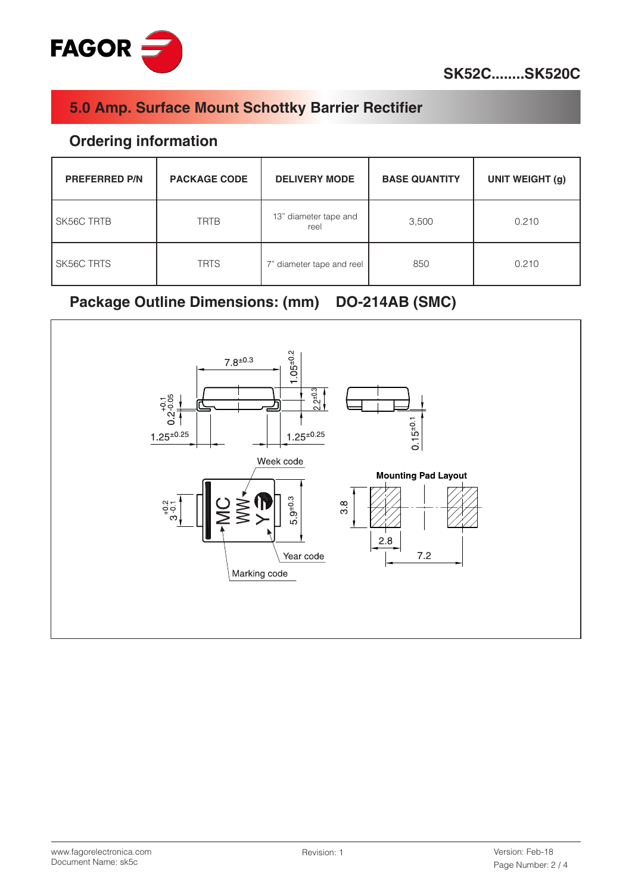

#### **Ordering information**

| <b>PREFERRED P/N</b> | <b>PACKAGE CODE</b> | <b>DELIVERY MODE</b>          | <b>BASE QUANTITY</b> | <b>UNIT WEIGHT (g)</b> |
|----------------------|---------------------|-------------------------------|----------------------|------------------------|
| SK56C TRTB           | <b>TRTB</b>         | 13" diameter tape and<br>reel | 3,500                | 0.210                  |
| SK56C TRTS           | <b>TRTS</b>         | 7" diameter tape and reel     | 850                  | 0.210                  |

# **Package Outline Dimensions: (mm) DO-214AB (SMC)**

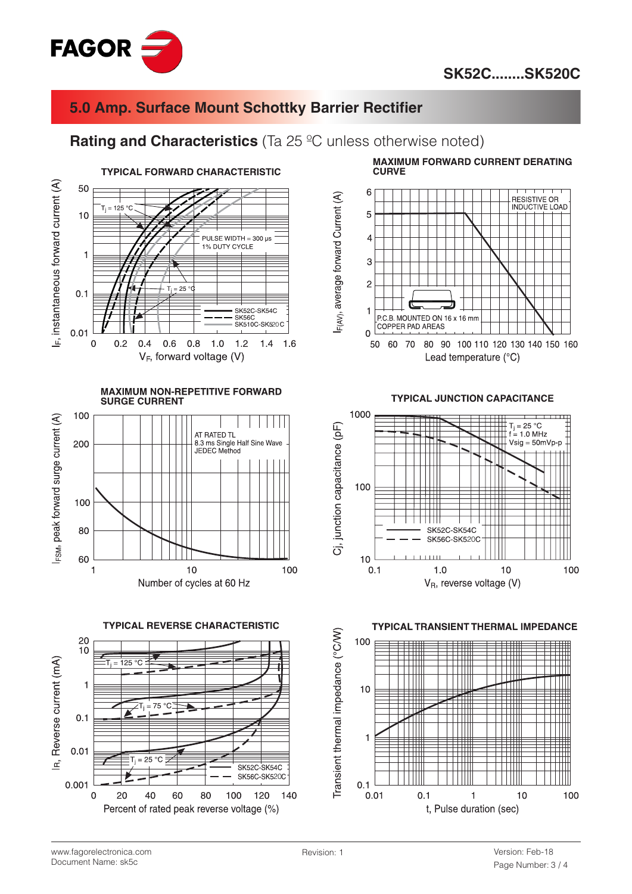



#### **Rating and Characteristics** (Ta 25 °C unless otherwise noted)







**MAXIMUM FORWARD CURRENT DERATING CURVE** 



**TYPICAL JUNCTION CAPACITANCE** 





www.fagorelectronica.com Document Name: sk5c